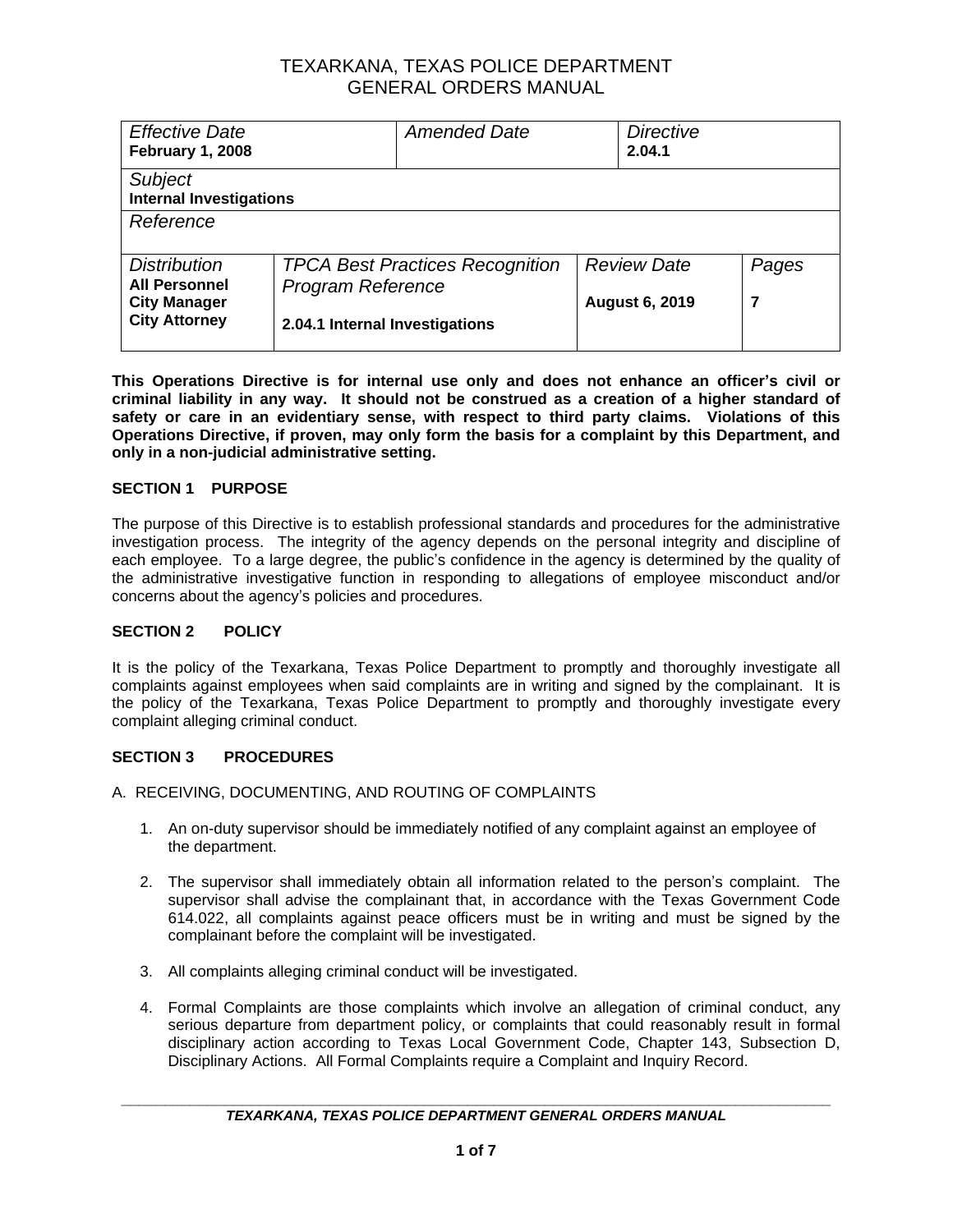| <b>Effective Date</b><br><b>February 1, 2008</b> |                                                                    | <b>Amended Date</b> | <b>Directive</b><br>2.04.1 |       |
|--------------------------------------------------|--------------------------------------------------------------------|---------------------|----------------------------|-------|
| Subject<br><b>Internal Investigations</b>        |                                                                    |                     |                            |       |
| Reference                                        |                                                                    |                     |                            |       |
| <b>Distribution</b><br><b>All Personnel</b>      | <b>TPCA Best Practices Recognition</b><br><b>Program Reference</b> |                     | <b>Review Date</b>         | Pages |
| <b>City Manager</b><br><b>City Attorney</b>      | 2.04.1 Internal Investigations                                     |                     | <b>August 6, 2019</b>      | 7     |

**This Operations Directive is for internal use only and does not enhance an officer's civil or criminal liability in any way. It should not be construed as a creation of a higher standard of safety or care in an evidentiary sense, with respect to third party claims. Violations of this Operations Directive, if proven, may only form the basis for a complaint by this Department, and only in a non-judicial administrative setting.**

### **SECTION 1 PURPOSE**

The purpose of this Directive is to establish professional standards and procedures for the administrative investigation process. The integrity of the agency depends on the personal integrity and discipline of each employee. To a large degree, the public's confidence in the agency is determined by the quality of the administrative investigative function in responding to allegations of employee misconduct and/or concerns about the agency's policies and procedures.

### **SECTION 2 POLICY**

It is the policy of the Texarkana, Texas Police Department to promptly and thoroughly investigate all complaints against employees when said complaints are in writing and signed by the complainant. It is the policy of the Texarkana, Texas Police Department to promptly and thoroughly investigate every complaint alleging criminal conduct.

### **SECTION 3 PROCEDURES**

- A. RECEIVING, DOCUMENTING, AND ROUTING OF COMPLAINTS
	- 1. An on-duty supervisor should be immediately notified of any complaint against an employee of the department.
	- 2. The supervisor shall immediately obtain all information related to the person's complaint. The supervisor shall advise the complainant that, in accordance with the Texas Government Code 614.022, all complaints against peace officers must be in writing and must be signed by the complainant before the complaint will be investigated.
	- 3. All complaints alleging criminal conduct will be investigated.
	- 4. Formal Complaints are those complaints which involve an allegation of criminal conduct, any serious departure from department policy, or complaints that could reasonably result in formal disciplinary action according to Texas Local Government Code, Chapter 143, Subsection D, Disciplinary Actions. All Formal Complaints require a Complaint and Inquiry Record.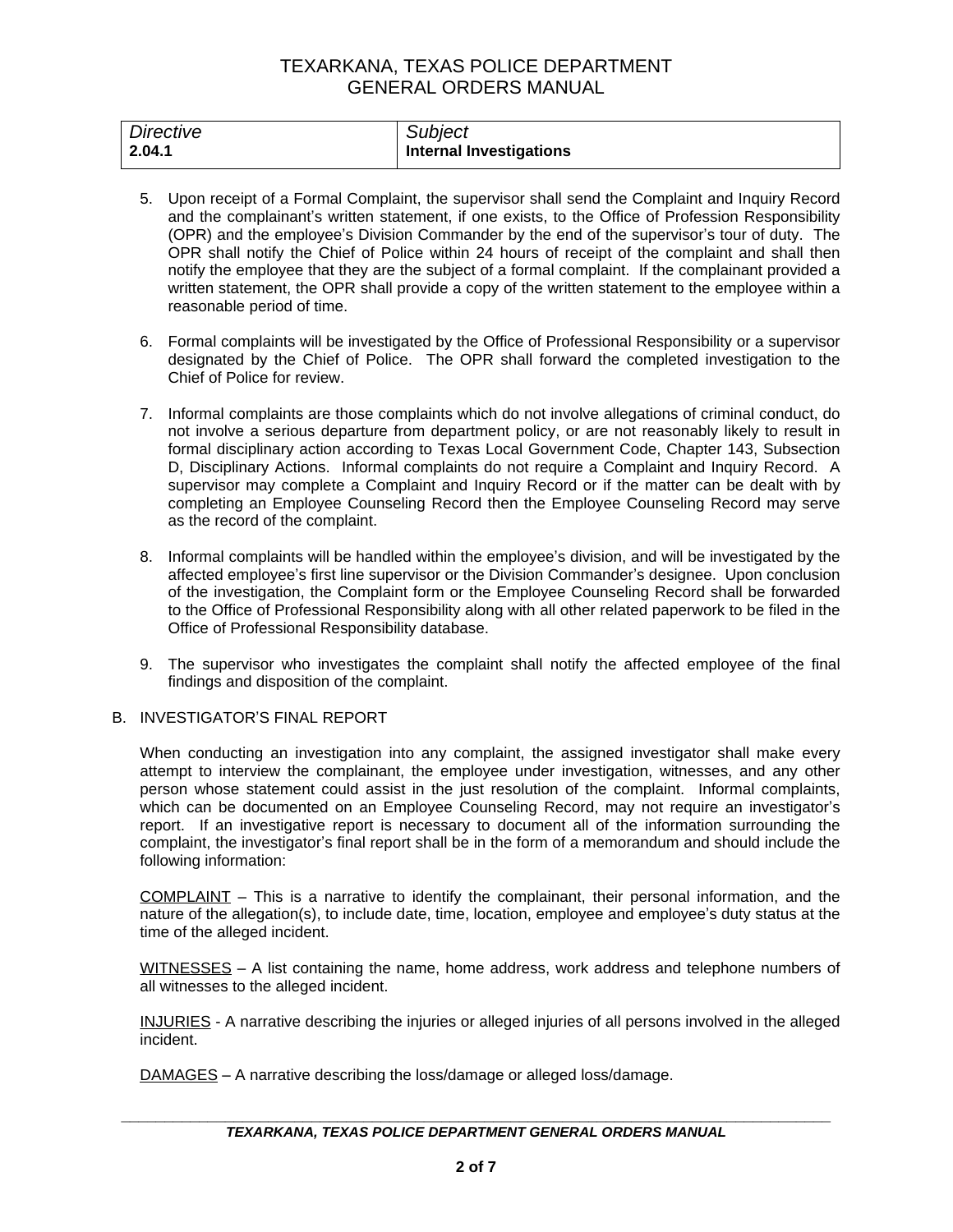| Directive | Subject                        |
|-----------|--------------------------------|
| 2.04.1    | <b>Internal Investigations</b> |

- 5. Upon receipt of a Formal Complaint, the supervisor shall send the Complaint and Inquiry Record and the complainant's written statement, if one exists, to the Office of Profession Responsibility (OPR) and the employee's Division Commander by the end of the supervisor's tour of duty. The OPR shall notify the Chief of Police within 24 hours of receipt of the complaint and shall then notify the employee that they are the subject of a formal complaint. If the complainant provided a written statement, the OPR shall provide a copy of the written statement to the employee within a reasonable period of time.
- 6. Formal complaints will be investigated by the Office of Professional Responsibility or a supervisor designated by the Chief of Police. The OPR shall forward the completed investigation to the Chief of Police for review.
- 7. Informal complaints are those complaints which do not involve allegations of criminal conduct, do not involve a serious departure from department policy, or are not reasonably likely to result in formal disciplinary action according to Texas Local Government Code, Chapter 143, Subsection D, Disciplinary Actions. Informal complaints do not require a Complaint and Inquiry Record. A supervisor may complete a Complaint and Inquiry Record or if the matter can be dealt with by completing an Employee Counseling Record then the Employee Counseling Record may serve as the record of the complaint.
- 8. Informal complaints will be handled within the employee's division, and will be investigated by the affected employee's first line supervisor or the Division Commander's designee. Upon conclusion of the investigation, the Complaint form or the Employee Counseling Record shall be forwarded to the Office of Professional Responsibility along with all other related paperwork to be filed in the Office of Professional Responsibility database.
- 9. The supervisor who investigates the complaint shall notify the affected employee of the final findings and disposition of the complaint.

### B. INVESTIGATOR'S FINAL REPORT

When conducting an investigation into any complaint, the assigned investigator shall make every attempt to interview the complainant, the employee under investigation, witnesses, and any other person whose statement could assist in the just resolution of the complaint. Informal complaints, which can be documented on an Employee Counseling Record, may not require an investigator's report. If an investigative report is necessary to document all of the information surrounding the complaint, the investigator's final report shall be in the form of a memorandum and should include the following information:

COMPLAINT – This is a narrative to identify the complainant, their personal information, and the nature of the allegation(s), to include date, time, location, employee and employee's duty status at the time of the alleged incident.

WITNESSES - A list containing the name, home address, work address and telephone numbers of all witnesses to the alleged incident.

INJURIES - A narrative describing the injuries or alleged injuries of all persons involved in the alleged incident.

DAMAGES – A narrative describing the loss/damage or alleged loss/damage.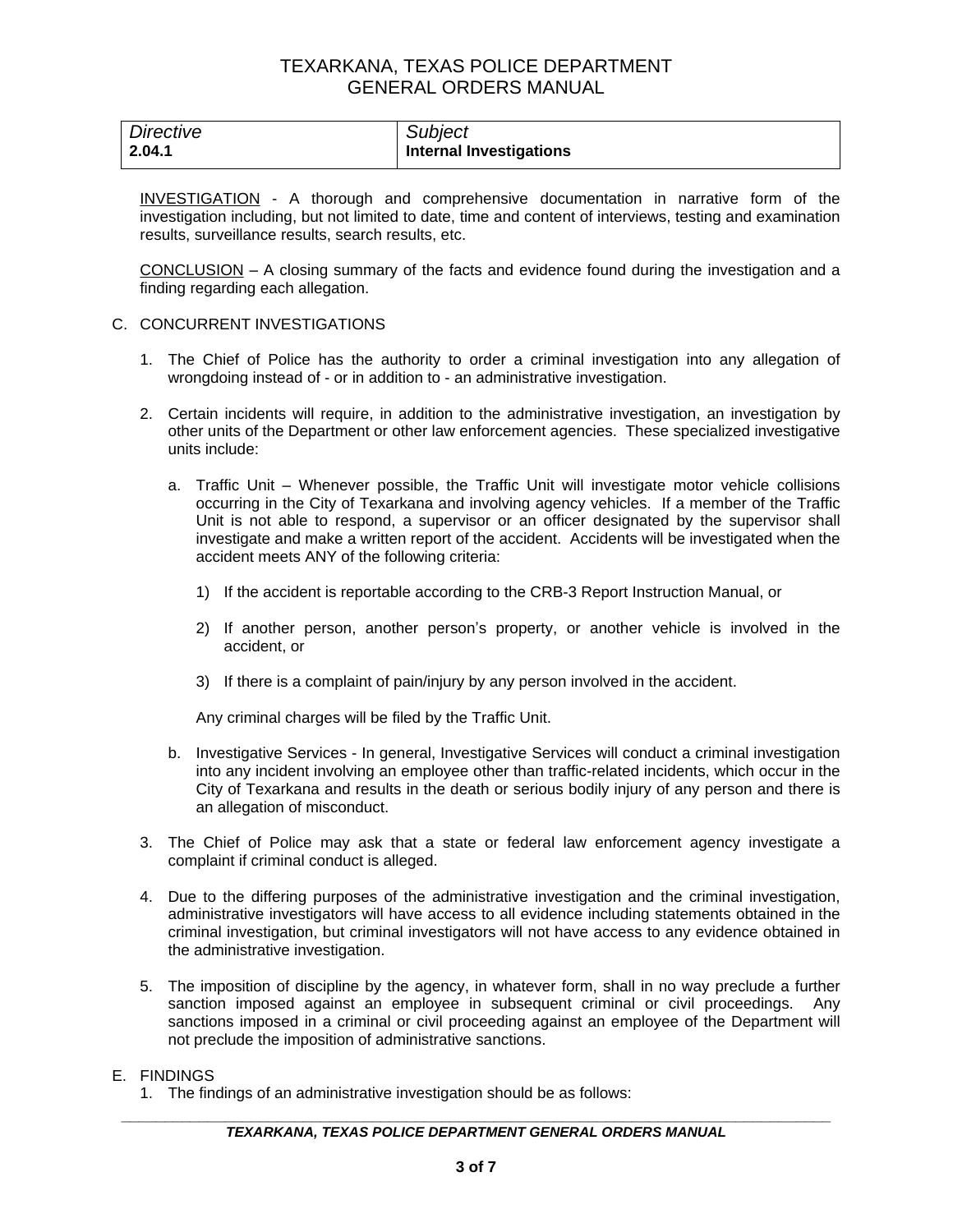| Directive | Subject                        |
|-----------|--------------------------------|
| 2.04.1    | <b>Internal Investigations</b> |

INVESTIGATION - A thorough and comprehensive documentation in narrative form of the investigation including, but not limited to date, time and content of interviews, testing and examination results, surveillance results, search results, etc.

CONCLUSION – A closing summary of the facts and evidence found during the investigation and a finding regarding each allegation.

- C. CONCURRENT INVESTIGATIONS
	- 1. The Chief of Police has the authority to order a criminal investigation into any allegation of wrongdoing instead of - or in addition to - an administrative investigation.
	- 2. Certain incidents will require, in addition to the administrative investigation, an investigation by other units of the Department or other law enforcement agencies. These specialized investigative units include:
		- a. Traffic Unit Whenever possible, the Traffic Unit will investigate motor vehicle collisions occurring in the City of Texarkana and involving agency vehicles. If a member of the Traffic Unit is not able to respond, a supervisor or an officer designated by the supervisor shall investigate and make a written report of the accident. Accidents will be investigated when the accident meets ANY of the following criteria:
			- 1) If the accident is reportable according to the CRB-3 Report Instruction Manual, or
			- 2) If another person, another person's property, or another vehicle is involved in the accident, or
			- 3) If there is a complaint of pain/injury by any person involved in the accident.

Any criminal charges will be filed by the Traffic Unit.

- b. Investigative Services In general, Investigative Services will conduct a criminal investigation into any incident involving an employee other than traffic-related incidents, which occur in the City of Texarkana and results in the death or serious bodily injury of any person and there is an allegation of misconduct.
- 3. The Chief of Police may ask that a state or federal law enforcement agency investigate a complaint if criminal conduct is alleged.
- 4. Due to the differing purposes of the administrative investigation and the criminal investigation, administrative investigators will have access to all evidence including statements obtained in the criminal investigation, but criminal investigators will not have access to any evidence obtained in the administrative investigation.
- 5. The imposition of discipline by the agency, in whatever form, shall in no way preclude a further sanction imposed against an employee in subsequent criminal or civil proceedings. Any sanctions imposed in a criminal or civil proceeding against an employee of the Department will not preclude the imposition of administrative sanctions.

#### E. FINDINGS

1. The findings of an administrative investigation should be as follows: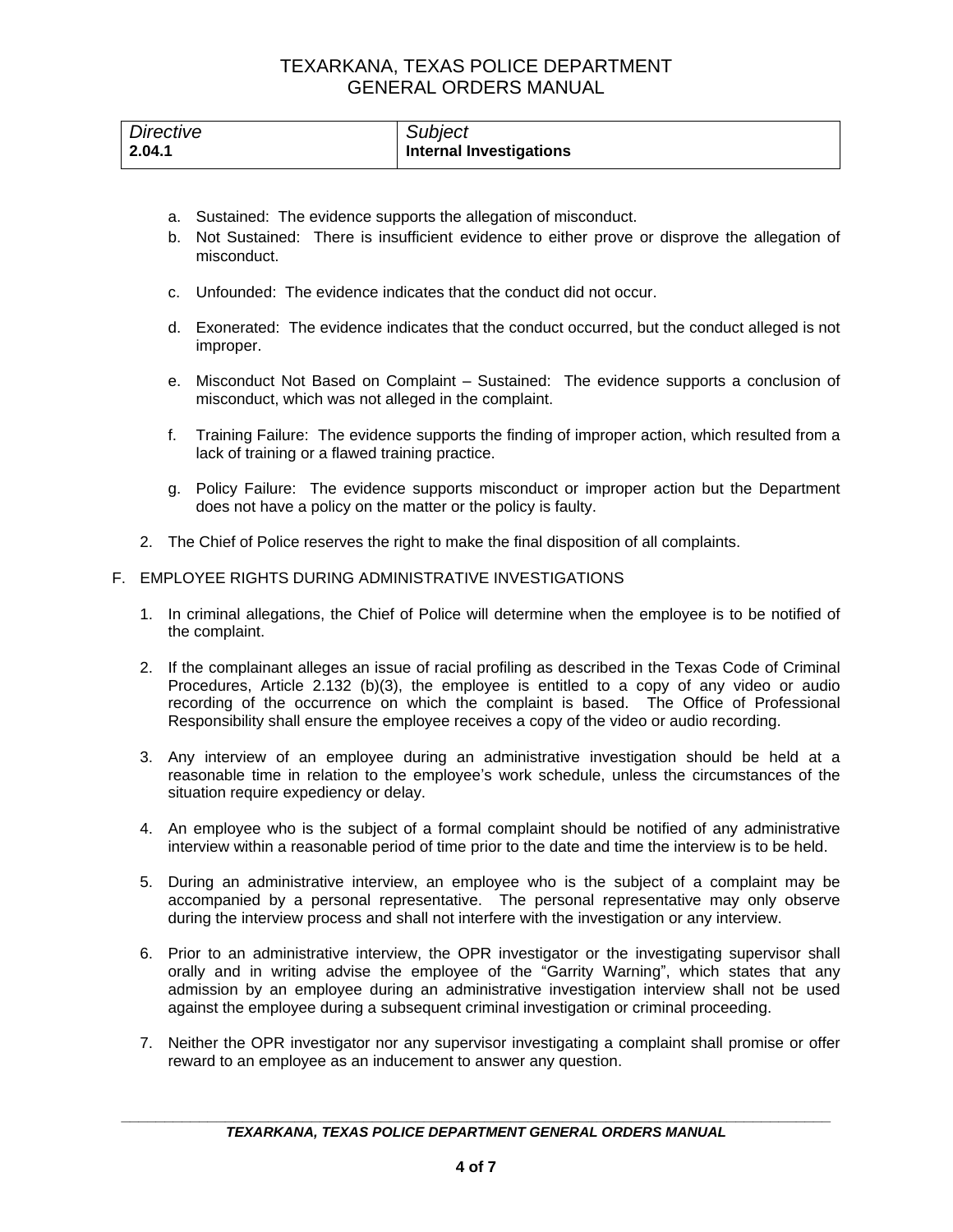| Directive | Subject                        |
|-----------|--------------------------------|
| 2.04.1    | <b>Internal Investigations</b> |

- a. Sustained: The evidence supports the allegation of misconduct.
- b. Not Sustained: There is insufficient evidence to either prove or disprove the allegation of misconduct.
- c. Unfounded: The evidence indicates that the conduct did not occur.
- d. Exonerated: The evidence indicates that the conduct occurred, but the conduct alleged is not improper.
- e. Misconduct Not Based on Complaint Sustained: The evidence supports a conclusion of misconduct, which was not alleged in the complaint.
- f. Training Failure: The evidence supports the finding of improper action, which resulted from a lack of training or a flawed training practice.
- g. Policy Failure: The evidence supports misconduct or improper action but the Department does not have a policy on the matter or the policy is faulty.
- 2. The Chief of Police reserves the right to make the final disposition of all complaints.

### F. EMPLOYEE RIGHTS DURING ADMINISTRATIVE INVESTIGATIONS

- 1. In criminal allegations, the Chief of Police will determine when the employee is to be notified of the complaint.
- 2. If the complainant alleges an issue of racial profiling as described in the Texas Code of Criminal Procedures, Article 2.132 (b)(3), the employee is entitled to a copy of any video or audio recording of the occurrence on which the complaint is based. The Office of Professional Responsibility shall ensure the employee receives a copy of the video or audio recording.
- 3. Any interview of an employee during an administrative investigation should be held at a reasonable time in relation to the employee's work schedule, unless the circumstances of the situation require expediency or delay.
- 4. An employee who is the subject of a formal complaint should be notified of any administrative interview within a reasonable period of time prior to the date and time the interview is to be held.
- 5. During an administrative interview, an employee who is the subject of a complaint may be accompanied by a personal representative. The personal representative may only observe during the interview process and shall not interfere with the investigation or any interview.
- 6. Prior to an administrative interview, the OPR investigator or the investigating supervisor shall orally and in writing advise the employee of the "Garrity Warning", which states that any admission by an employee during an administrative investigation interview shall not be used against the employee during a subsequent criminal investigation or criminal proceeding.
- 7. Neither the OPR investigator nor any supervisor investigating a complaint shall promise or offer reward to an employee as an inducement to answer any question.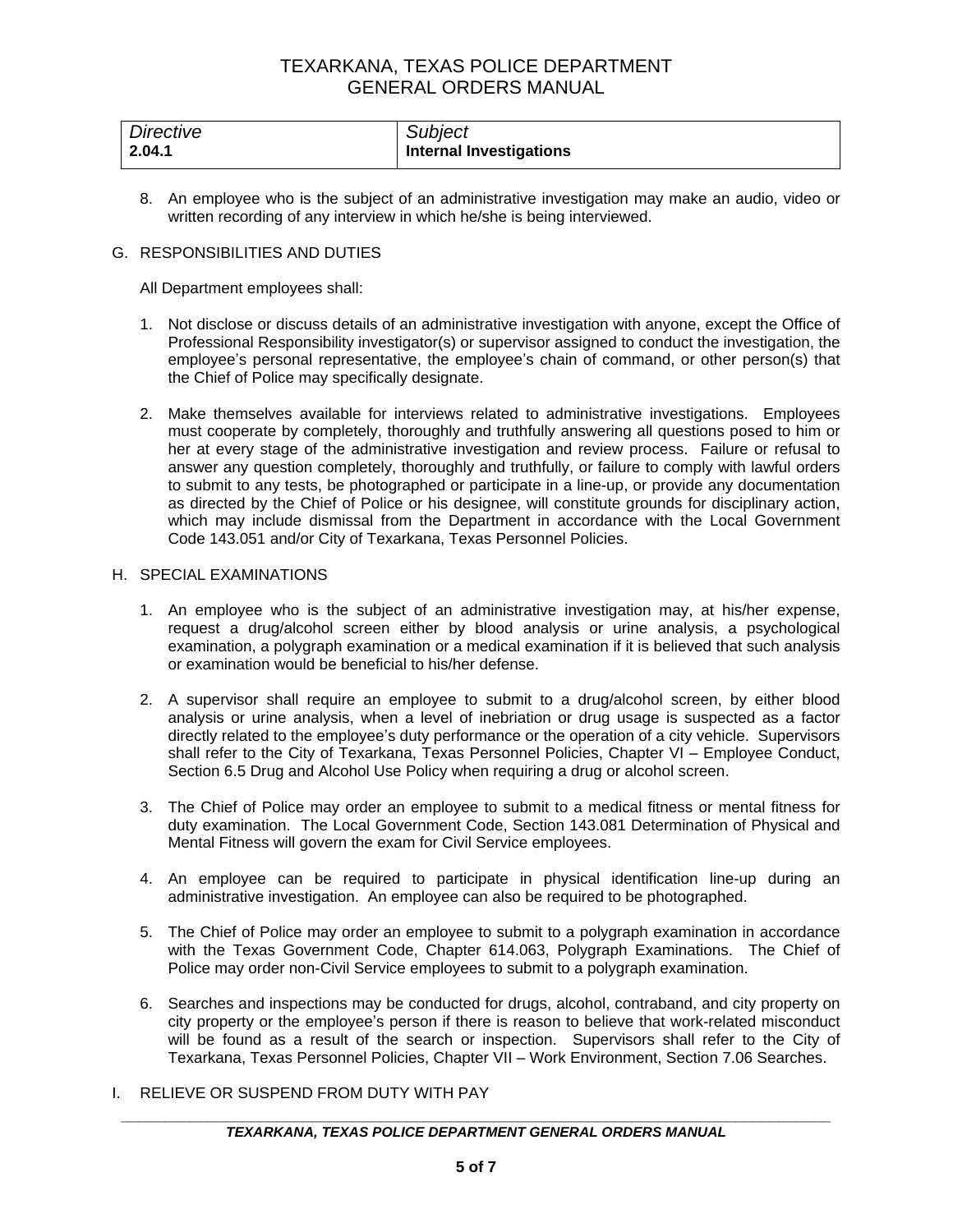| Directive | Subject                        |
|-----------|--------------------------------|
| 2.04.1    | <b>Internal Investigations</b> |

8. An employee who is the subject of an administrative investigation may make an audio, video or written recording of any interview in which he/she is being interviewed.

#### G. RESPONSIBILITIES AND DUTIES

All Department employees shall:

- 1. Not disclose or discuss details of an administrative investigation with anyone, except the Office of Professional Responsibility investigator(s) or supervisor assigned to conduct the investigation, the employee's personal representative, the employee's chain of command, or other person(s) that the Chief of Police may specifically designate.
- 2. Make themselves available for interviews related to administrative investigations. Employees must cooperate by completely, thoroughly and truthfully answering all questions posed to him or her at every stage of the administrative investigation and review process. Failure or refusal to answer any question completely, thoroughly and truthfully, or failure to comply with lawful orders to submit to any tests, be photographed or participate in a line-up, or provide any documentation as directed by the Chief of Police or his designee, will constitute grounds for disciplinary action, which may include dismissal from the Department in accordance with the Local Government Code 143.051 and/or City of Texarkana, Texas Personnel Policies.

### H. SPECIAL EXAMINATIONS

- 1. An employee who is the subject of an administrative investigation may, at his/her expense, request a drug/alcohol screen either by blood analysis or urine analysis, a psychological examination, a polygraph examination or a medical examination if it is believed that such analysis or examination would be beneficial to his/her defense.
- 2. A supervisor shall require an employee to submit to a drug/alcohol screen, by either blood analysis or urine analysis, when a level of inebriation or drug usage is suspected as a factor directly related to the employee's duty performance or the operation of a city vehicle. Supervisors shall refer to the City of Texarkana, Texas Personnel Policies, Chapter VI – Employee Conduct, Section 6.5 Drug and Alcohol Use Policy when requiring a drug or alcohol screen.
- 3. The Chief of Police may order an employee to submit to a medical fitness or mental fitness for duty examination. The Local Government Code, Section 143.081 Determination of Physical and Mental Fitness will govern the exam for Civil Service employees.
- 4. An employee can be required to participate in physical identification line-up during an administrative investigation. An employee can also be required to be photographed.
- 5. The Chief of Police may order an employee to submit to a polygraph examination in accordance with the Texas Government Code, Chapter 614.063, Polygraph Examinations. The Chief of Police may order non-Civil Service employees to submit to a polygraph examination.
- 6. Searches and inspections may be conducted for drugs, alcohol, contraband, and city property on city property or the employee's person if there is reason to believe that work-related misconduct will be found as a result of the search or inspection. Supervisors shall refer to the City of Texarkana, Texas Personnel Policies, Chapter VII – Work Environment, Section 7.06 Searches.
- I. RELIEVE OR SUSPEND FROM DUTY WITH PAY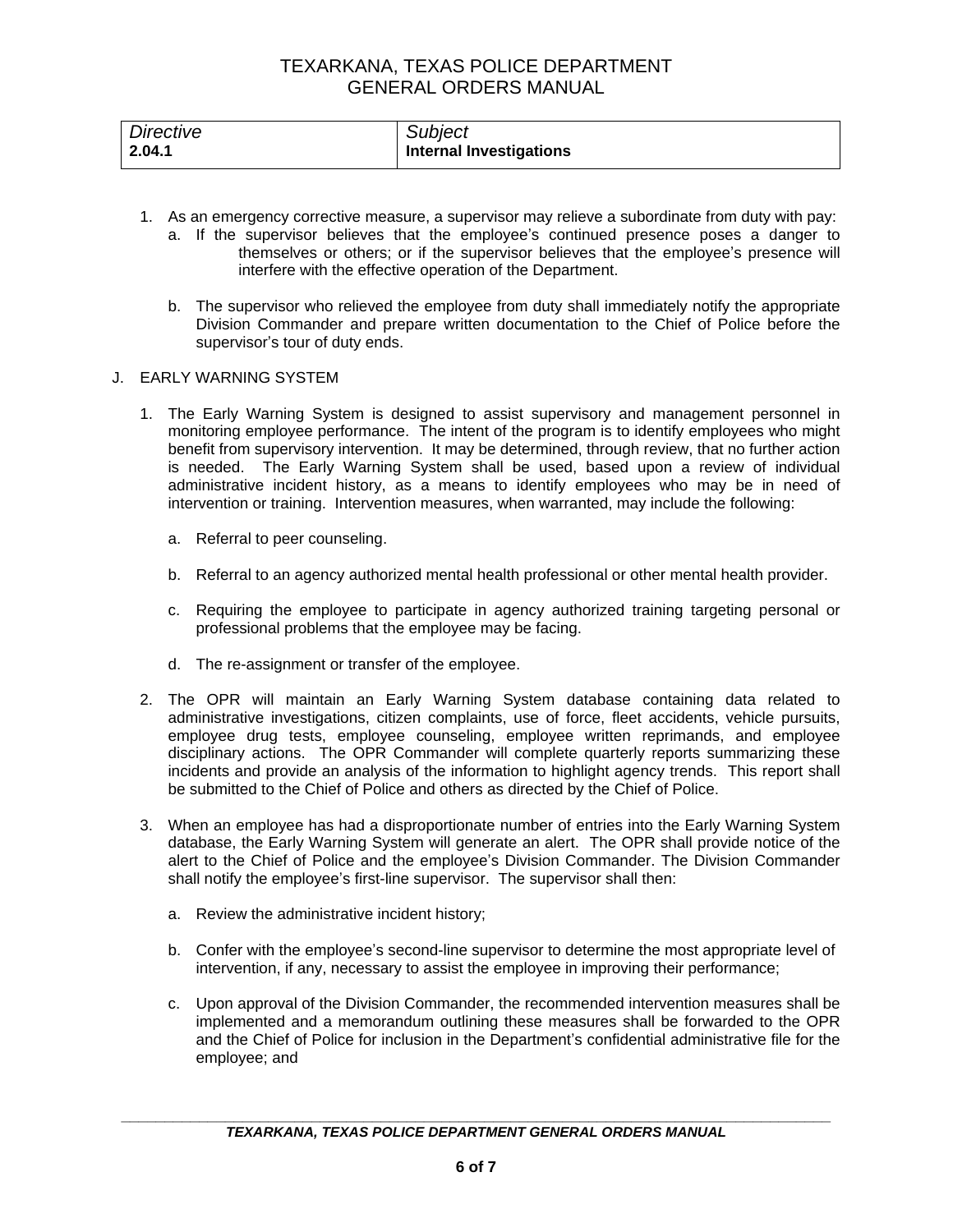| Directive      | Subject                        |
|----------------|--------------------------------|
| $\vert$ 2.04.1 | <b>Internal Investigations</b> |

- 1. As an emergency corrective measure, a supervisor may relieve a subordinate from duty with pay:
	- a. If the supervisor believes that the employee's continued presence poses a danger to themselves or others; or if the supervisor believes that the employee's presence will interfere with the effective operation of the Department.
	- b. The supervisor who relieved the employee from duty shall immediately notify the appropriate Division Commander and prepare written documentation to the Chief of Police before the supervisor's tour of duty ends.

### J. EARLY WARNING SYSTEM

- 1. The Early Warning System is designed to assist supervisory and management personnel in monitoring employee performance. The intent of the program is to identify employees who might benefit from supervisory intervention. It may be determined, through review, that no further action is needed. The Early Warning System shall be used, based upon a review of individual administrative incident history, as a means to identify employees who may be in need of intervention or training. Intervention measures, when warranted, may include the following:
	- a. Referral to peer counseling.
	- b. Referral to an agency authorized mental health professional or other mental health provider.
	- c. Requiring the employee to participate in agency authorized training targeting personal or professional problems that the employee may be facing.
	- d. The re-assignment or transfer of the employee.
- 2. The OPR will maintain an Early Warning System database containing data related to administrative investigations, citizen complaints, use of force, fleet accidents, vehicle pursuits, employee drug tests, employee counseling, employee written reprimands, and employee disciplinary actions. The OPR Commander will complete quarterly reports summarizing these incidents and provide an analysis of the information to highlight agency trends. This report shall be submitted to the Chief of Police and others as directed by the Chief of Police.
- 3. When an employee has had a disproportionate number of entries into the Early Warning System database, the Early Warning System will generate an alert. The OPR shall provide notice of the alert to the Chief of Police and the employee's Division Commander. The Division Commander shall notify the employee's first-line supervisor. The supervisor shall then:
	- a. Review the administrative incident history;
	- b. Confer with the employee's second-line supervisor to determine the most appropriate level of intervention, if any, necessary to assist the employee in improving their performance;
	- c. Upon approval of the Division Commander, the recommended intervention measures shall be implemented and a memorandum outlining these measures shall be forwarded to the OPR and the Chief of Police for inclusion in the Department's confidential administrative file for the employee; and